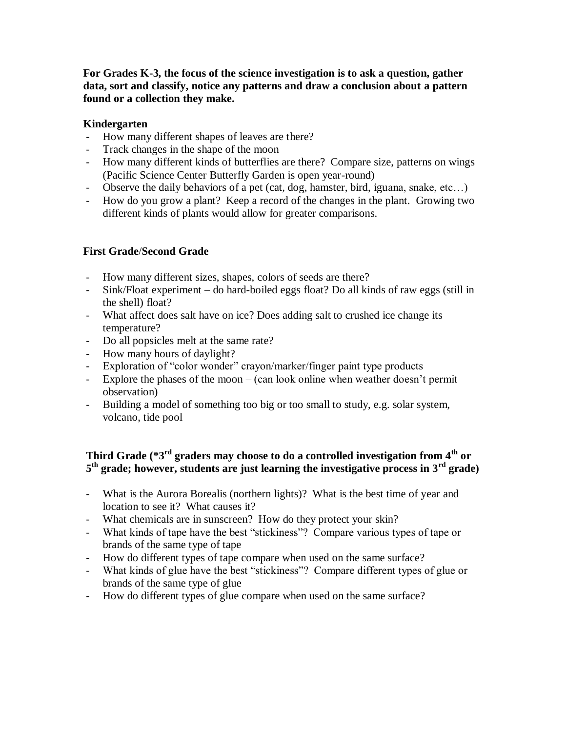**For Grades K-3, the focus of the science investigation is to ask a question, gather data, sort and classify, notice any patterns and draw a conclusion about a pattern found or a collection they make.**

### **Kindergarten**

- How many different shapes of leaves are there?
- Track changes in the shape of the moon
- How many different kinds of butterflies are there? Compare size, patterns on wings (Pacific Science Center Butterfly Garden is open year-round)
- Observe the daily behaviors of a pet (cat, dog, hamster, bird, iguana, snake, etc...)<br>- How do you grow a plant? Keep a record of the changes in the plant. Growing two
- How do you grow a plant? Keep a record of the changes in the plant. Growing two different kinds of plants would allow for greater comparisons.

## **First Grade**/**Second Grade**

- How many different sizes, shapes, colors of seeds are there?
- Sink/Float experiment do hard-boiled eggs float? Do all kinds of raw eggs (still in the shell) float?
- What affect does salt have on ice? Does adding salt to crushed ice change its temperature?
- Do all popsicles melt at the same rate?
- How many hours of daylight?
- Exploration of "color wonder" crayon/marker/finger paint type products
- Explore the phases of the moon (can look online when weather doesn't permit observation)
- Building a model of something too big or too small to study, e.g. solar system, volcano, tide pool

# **Third Grade (\*3rd graders may choose to do a controlled investigation from 4th or 5 th grade; however, students are just learning the investigative process in 3rd grade)**

- What is the Aurora Borealis (northern lights)? What is the best time of year and location to see it? What causes it?
- What chemicals are in sunscreen? How do they protect your skin?
- What kinds of tape have the best "stickiness"? Compare various types of tape or brands of the same type of tape
- How do different types of tape compare when used on the same surface?
- What kinds of glue have the best "stickiness"? Compare different types of glue or brands of the same type of glue
- How do different types of glue compare when used on the same surface?